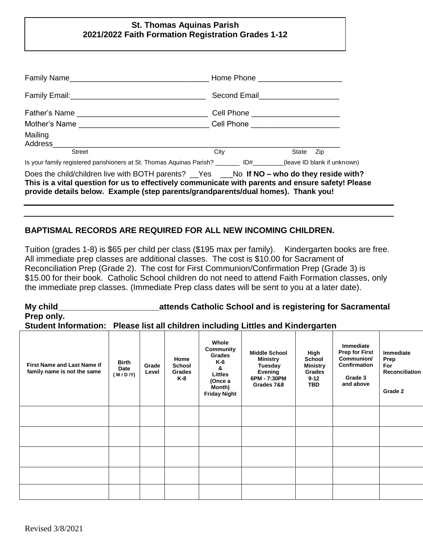## **St. Thomas Aquinas Parish 2021/2022 Faith Formation Registration Grades 1-12**

|                                                                                                                                                                                                                                                                                        | Home Phone ________________________      |  |  |  |  |
|----------------------------------------------------------------------------------------------------------------------------------------------------------------------------------------------------------------------------------------------------------------------------------------|------------------------------------------|--|--|--|--|
|                                                                                                                                                                                                                                                                                        |                                          |  |  |  |  |
|                                                                                                                                                                                                                                                                                        | Cell Phone <u>______________________</u> |  |  |  |  |
| Mother's Name ___________________________________Cell Phone ____________________                                                                                                                                                                                                       |                                          |  |  |  |  |
| Mailing<br>Address_________                                                                                                                                                                                                                                                            |                                          |  |  |  |  |
| <b>Street</b>                                                                                                                                                                                                                                                                          | City<br>State Zip                        |  |  |  |  |
| Is your family registered parishioners at St. Thomas Aquinas Parish? ________ ID#_______(leave ID blank if unknown)                                                                                                                                                                    |                                          |  |  |  |  |
| Does the child/children live with BOTH parents? __Yes ___No If NO - who do they reside with?<br>This is a vital question for us to effectively communicate with parents and ensure safety! Please<br>provide details below. Example (step parents/grandparents/dual homes). Thank you! |                                          |  |  |  |  |

# **BAPTISMAL RECORDS ARE REQUIRED FOR ALL NEW INCOMING CHILDREN.**

Tuition (grades 1-8) is \$65 per child per class (\$195 max per family). Kindergarten books are free. All immediate prep classes are additional classes. The cost is \$10.00 for Sacrament of Reconciliation Prep (Grade 2). The cost for First Communion/Confirmation Prep (Grade 3) is \$15.00 for their book. Catholic School children do not need to attend Faith Formation classes, only the immediate prep classes. (Immediate Prep class dates will be sent to you at a later date).

**My child\_\_\_\_\_\_\_\_\_\_\_\_\_\_\_\_\_\_\_\_\_\_attends Catholic School and is registering for Sacramental Prep only.**

## **Student Information: Please list all children including Littles and Kindergarten**

| First Name and Last Name if<br>family name is not the same | <b>Birth</b><br>Date<br>(M/D/Y) | Grade<br>Level | Home<br><b>School</b><br><b>Grades</b><br>K-8 | Whole<br><b>Community</b><br>Grades<br>K-6<br>&<br>Littles<br>(Once a<br>Month)<br><b>Friday Night</b> | <b>Middle School</b><br><b>Ministry</b><br>Tuesday<br>Evening<br>6PM - 7:30PM<br>Grades 7&8 | High<br><b>School</b><br><b>Ministry</b><br><b>Grades</b><br>$9 - 12$<br><b>TBD</b> | <b>Immediate</b><br><b>Prep for First</b><br>Communion/<br>Confirmation<br>Grade 3<br>and above | <b>Immediate</b><br>Prep<br>For<br><b>Reconciliation</b><br>Grade 2 |
|------------------------------------------------------------|---------------------------------|----------------|-----------------------------------------------|--------------------------------------------------------------------------------------------------------|---------------------------------------------------------------------------------------------|-------------------------------------------------------------------------------------|-------------------------------------------------------------------------------------------------|---------------------------------------------------------------------|
|                                                            |                                 |                |                                               |                                                                                                        |                                                                                             |                                                                                     |                                                                                                 |                                                                     |
|                                                            |                                 |                |                                               |                                                                                                        |                                                                                             |                                                                                     |                                                                                                 |                                                                     |
|                                                            |                                 |                |                                               |                                                                                                        |                                                                                             |                                                                                     |                                                                                                 |                                                                     |
|                                                            |                                 |                |                                               |                                                                                                        |                                                                                             |                                                                                     |                                                                                                 |                                                                     |
|                                                            |                                 |                |                                               |                                                                                                        |                                                                                             |                                                                                     |                                                                                                 |                                                                     |